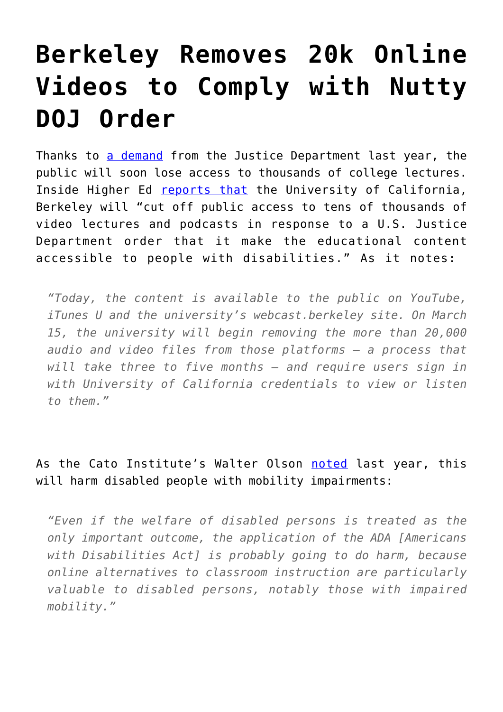## **[Berkeley Removes 20k Online](https://intellectualtakeout.org/2017/03/berkeley-removes-20k-online-videos-to-comply-with-nutty-doj-order/) [Videos to Comply with Nutty](https://intellectualtakeout.org/2017/03/berkeley-removes-20k-online-videos-to-comply-with-nutty-doj-order/) [DOJ Order](https://intellectualtakeout.org/2017/03/berkeley-removes-20k-online-videos-to-comply-with-nutty-doj-order/)**

Thanks to [a demand](https://news.berkeley.edu/wp-content/uploads/2016/09/2016-08-30-UC-Berkeley-LOF.pdf) from the Justice Department last year, the public will soon lose access to thousands of college lectures. Inside Higher Ed [reports that](https://www.insidehighered.com/news/2017/03/06/u-california-berkeley-delete-publicly-available-educational-content) the University of California, Berkeley will "cut off public access to tens of thousands of video lectures and podcasts in response to a U.S. Justice Department order that it make the educational content accessible to people with disabilities." As it notes:

*"Today, the content is available to the public on YouTube, iTunes U and the university's webcast.berkeley site. On March 15, the university will begin removing the more than 20,000 audio and video files from those platforms — a process that will take three to five months — and require users sign in with University of California credentials to view or listen to them."*

## As the Cato Institute's Walter Olson [noted](https://www.overlawyered.com/2016/10/pyrrhic-victory-disabled/) last year, this will harm disabled people with mobility impairments:

*"Even if the welfare of disabled persons is treated as the only important outcome, the application of the ADA [Americans with Disabilities Act] is probably going to do harm, because online alternatives to classroom instruction are particularly valuable to disabled persons, notably those with impaired mobility."*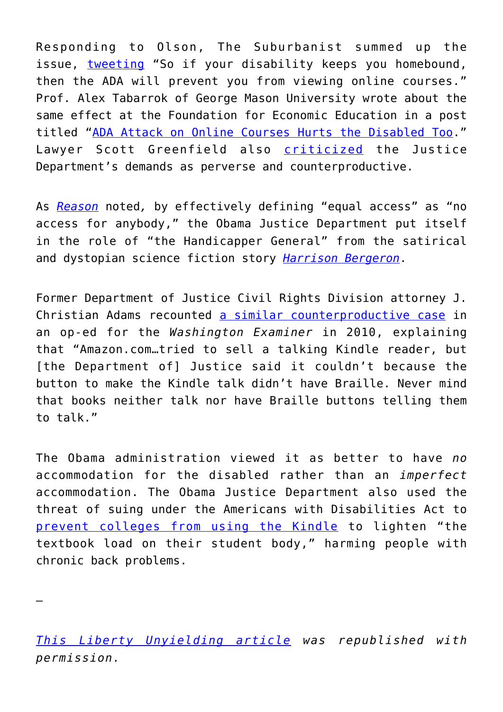Responding to Olson, The Suburbanist summed up the issue, [tweeting](https://twitter.com/The_Suburbanist/status/778786948760604673) "So if your disability keeps you homebound, then the ADA will prevent you from viewing online courses." Prof. Alex Tabarrok of George Mason University wrote about the same effect at the Foundation for Economic Education in a post titled ["ADA Attack on Online Courses Hurts the Disabled Too](https://fee.org/articles/the-ada-attack-on-online-courses-hurts-the-disabled-too/)." Lawyer Scott Greenfield also [criticized](http://blog.simplejustice.us/2016/09/20/the-pyrrhic-victory-for-the-disabled/) the Justice Department's demands as perverse and counterproductive.

As *[Reason](http://reason.com/blog/2016/09/19/department-of-justice-if-disabled-people)* noted*,* by effectively defining "equal access" as "no access for anybody," the Obama Justice Department put itself in the role of "the Handicapper General" from the satirical and dystopian science fiction story *[Harrison Bergeron](https://en.wikipedia.org/wiki/Harrison_Bergeron)*.

Former Department of Justice Civil Rights Division attorney J. Christian Adams recounted [a similar counterproductive case](http://www.washingtonexaminer.com/justice-departments-civil-rights-division-is-out-of-control/article/36353) in an op-ed for the *Washington Examiner* in 2010, explaining that "Amazon.com…tried to sell a talking Kindle reader, but [the Department of] Justice said it couldn't because the button to make the Kindle talk didn't have Braille. Never mind that books neither talk nor have Braille buttons telling them to talk."

The Obama administration viewed it as better to have *no* accommodation for the disabled rather than an *imperfect* accommodation. The Obama Justice Department also used the threat of suing under the Americans with Disabilities Act to [prevent colleges from using the Kindle](http://overlawyered.com/2010/08/ada-feds-intervened-against-college-kindles/) to lighten "the textbook load on their student body," harming people with chronic back problems.

*[This Liberty Unyielding article](https://cei.org/blog/federal-disability-order-limits-public-access-educational-content) was republished with permission.*

—